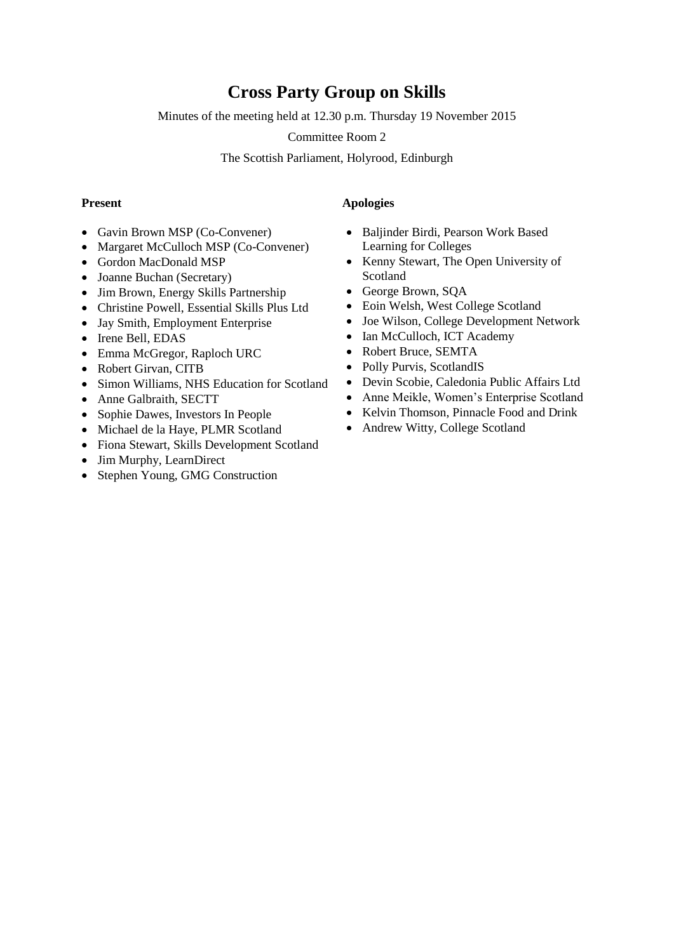# **Cross Party Group on Skills**

Minutes of the meeting held at 12.30 p.m. Thursday 19 November 2015

Committee Room 2

The Scottish Parliament, Holyrood, Edinburgh

- Gavin Brown MSP (Co-Convener)
- Margaret McCulloch MSP (Co-Convener)
- Gordon MacDonald MSP
- Joanne Buchan (Secretary)
- Jim Brown, Energy Skills Partnership
- Christine Powell, Essential Skills Plus Ltd
- Jay Smith, Employment Enterprise
- Irene Bell, EDAS
- Emma McGregor, Raploch URC
- Robert Girvan, CITB
- Simon Williams, NHS Education for Scotland
- Anne Galbraith, SECTT
- Sophie Dawes, Investors In People
- Michael de la Haye, PLMR Scotland
- Fiona Stewart, Skills Development Scotland
- Jim Murphy, LearnDirect
- Stephen Young, GMG Construction

## **Present Apologies**

- Baljinder Birdi, Pearson Work Based Learning for Colleges
- Kenny Stewart, The Open University of Scotland
- George Brown, SQA
- Eoin Welsh, West College Scotland
- Joe Wilson, College Development Network
- Ian McCulloch, ICT Academy
- Robert Bruce, SEMTA
- Polly Purvis, ScotlandIS
- Devin Scobie, Caledonia Public Affairs Ltd
- Anne Meikle, Women's Enterprise Scotland
- Kelvin Thomson, Pinnacle Food and Drink
- Andrew Witty, College Scotland